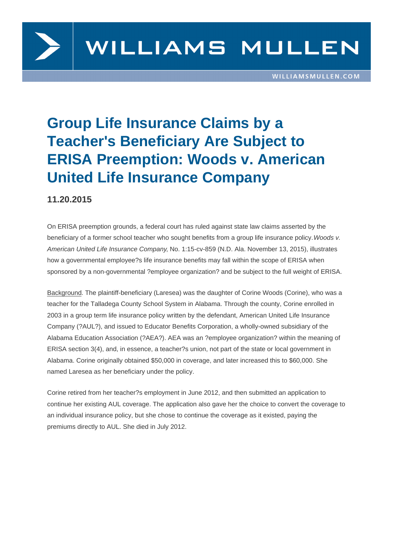

## **Group Life Insurance Claims by a Teacher's Beneficiary Are Subject to ERISA Preemption: Woods v. American United Life Insurance Company**

## **11.20.2015**

On ERISA preemption grounds, a federal court has ruled against state law claims asserted by the beneficiary of a former school teacher who sought benefits from a group life insurance policy. Woods v. American United Life Insurance Company, No. 1:15-cv-859 (N.D. Ala. November 13, 2015), illustrates how a governmental employee?s life insurance benefits may fall within the scope of ERISA when sponsored by a non-governmental ?employee organization? and be subject to the full weight of ERISA.

Background. The plaintiff-beneficiary (Laresea) was the daughter of Corine Woods (Corine), who was a teacher for the Talladega County School System in Alabama. Through the county, Corine enrolled in 2003 in a group term life insurance policy written by the defendant, American United Life Insurance Company (?AUL?), and issued to Educator Benefits Corporation, a wholly-owned subsidiary of the Alabama Education Association (?AEA?). AEA was an ?employee organization? within the meaning of ERISA section 3(4), and, in essence, a teacher?s union, not part of the state or local government in Alabama. Corine originally obtained \$50,000 in coverage, and later increased this to \$60,000. She named Laresea as her beneficiary under the policy.

Corine retired from her teacher?s employment in June 2012, and then submitted an application to continue her existing AUL coverage. The application also gave her the choice to convert the coverage to an individual insurance policy, but she chose to continue the coverage as it existed, paying the premiums directly to AUL. She died in July 2012.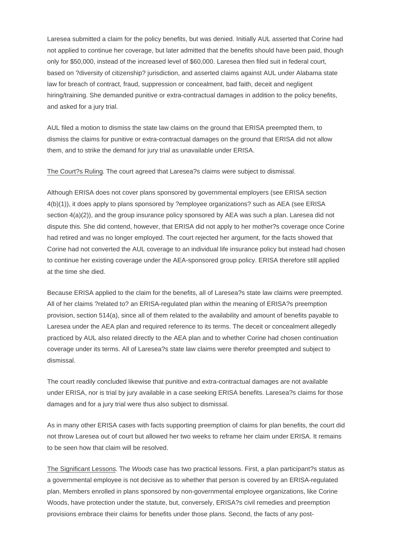Laresea submitted a claim for the policy benefits, but was denied. Initially AUL asserted that Corine had not applied to continue her coverage, but later admitted that the benefits should have been paid, though only for \$50,000, instead of the increased level of \$60,000. Laresea then filed suit in federal court, based on ?diversity of citizenship? jurisdiction, and asserted claims against AUL under Alabama state law for breach of contract, fraud, suppression or concealment, bad faith, deceit and negligent hiring/training. She demanded punitive or extra-contractual damages in addition to the policy benefits, and asked for a jury trial.

AUL filed a motion to dismiss the state law claims on the ground that ERISA preempted them, to dismiss the claims for punitive or extra-contractual damages on the ground that ERISA did not allow them, and to strike the demand for jury trial as unavailable under ERISA.

The Court?s Ruling. The court agreed that Laresea?s claims were subject to dismissal.

Although ERISA does not cover plans sponsored by governmental employers (see ERISA section 4(b)(1)), it does apply to plans sponsored by ?employee organizations? such as AEA (see ERISA section  $4(a)(2)$ ), and the group insurance policy sponsored by AEA was such a plan. Laresea did not dispute this. She did contend, however, that ERISA did not apply to her mother?s coverage once Corine had retired and was no longer employed. The court rejected her argument, for the facts showed that Corine had not converted the AUL coverage to an individual life insurance policy but instead had chosen to continue her existing coverage under the AEA-sponsored group policy. ERISA therefore still applied at the time she died.

Because ERISA applied to the claim for the benefits, all of Laresea?s state law claims were preempted. All of her claims ?related to? an ERISA-regulated plan within the meaning of ERISA?s preemption provision, section 514(a), since all of them related to the availability and amount of benefits payable to Laresea under the AEA plan and required reference to its terms. The deceit or concealment allegedly practiced by AUL also related directly to the AEA plan and to whether Corine had chosen continuation coverage under its terms. All of Laresea?s state law claims were therefor preempted and subject to dismissal.

The court readily concluded likewise that punitive and extra-contractual damages are not available under ERISA, nor is trial by jury available in a case seeking ERISA benefits. Laresea?s claims for those damages and for a jury trial were thus also subject to dismissal.

As in many other ERISA cases with facts supporting preemption of claims for plan benefits, the court did not throw Laresea out of court but allowed her two weeks to reframe her claim under ERISA. It remains to be seen how that claim will be resolved.

The Significant Lessons. The Woods case has two practical lessons. First, a plan participant?s status as a governmental employee is not decisive as to whether that person is covered by an ERISA-regulated plan. Members enrolled in plans sponsored by non-governmental employee organizations, like Corine Woods, have protection under the statute, but, conversely, ERISA?s civil remedies and preemption provisions embrace their claims for benefits under those plans. Second, the facts of any post